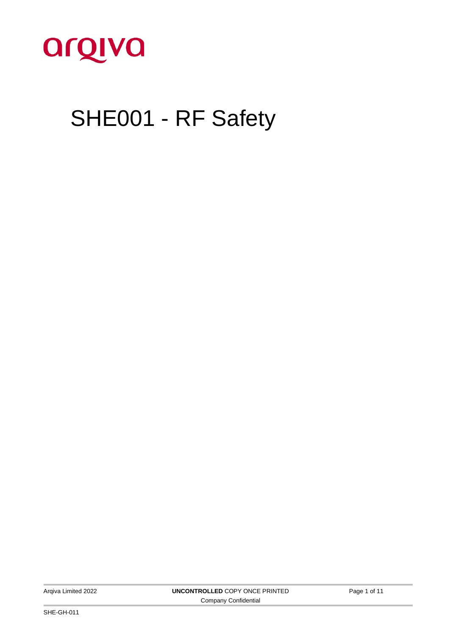

# SHE001 - RF Safety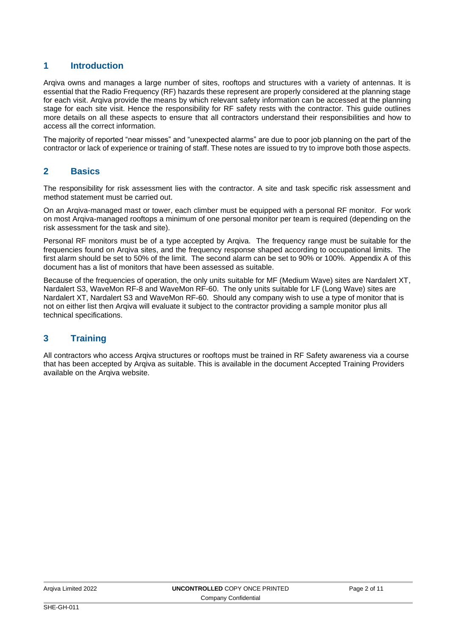#### **1 Introduction**

Arqiva owns and manages a large number of sites, rooftops and structures with a variety of antennas. It is essential that the Radio Frequency (RF) hazards these represent are properly considered at the planning stage for each visit. Arqiva provide the means by which relevant safety information can be accessed at the planning stage for each site visit. Hence the responsibility for RF safety rests with the contractor. This guide outlines more details on all these aspects to ensure that all contractors understand their responsibilities and how to access all the correct information.

The majority of reported "near misses" and "unexpected alarms" are due to poor job planning on the part of the contractor or lack of experience or training of staff. These notes are issued to try to improve both those aspects.

#### **2 Basics**

The responsibility for risk assessment lies with the contractor. A site and task specific risk assessment and method statement must be carried out.

On an Arqiva-managed mast or tower, each climber must be equipped with a personal RF monitor. For work on most Arqiva-managed rooftops a minimum of one personal monitor per team is required (depending on the risk assessment for the task and site).

Personal RF monitors must be of a type accepted by Arqiva. The frequency range must be suitable for the frequencies found on Arqiva sites, and the frequency response shaped according to occupational limits. The first alarm should be set to 50% of the limit. The second alarm can be set to 90% or 100%. Appendix A of this document has a list of monitors that have been assessed as suitable.

Because of the frequencies of operation, the only units suitable for MF (Medium Wave) sites are Nardalert XT, Nardalert S3, WaveMon RF-8 and WaveMon RF-60. The only units suitable for LF (Long Wave) sites are Nardalert XT, Nardalert S3 and WaveMon RF-60. Should any company wish to use a type of monitor that is not on either list then Arqiva will evaluate it subject to the contractor providing a sample monitor plus all technical specifications.

#### **3 Training**

All contractors who access Arqiva structures or rooftops must be trained in RF Safety awareness via a course that has been accepted by Arqiva as suitable. This is available in the document Accepted Training Providers available on the Arqiva website.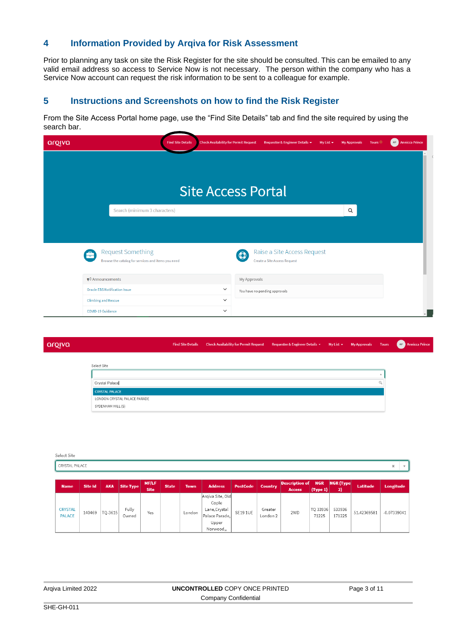#### **4 Information Provided by Arqiva for Risk Assessment**

Prior to planning any task on site the Risk Register for the site should be consulted. This can be emailed to any valid email address so access to Service Now is not necessary. The person within the company who has a Service Now account can request the risk information to be sent to a colleague for example.

#### **5 Instructions and Screenshots on how to find the Risk Register**

From the Site Access Portal home page, use the "Find Site Details" tab and find the site required by using the search bar.

| argiva                                                                              | <b>Find Site Details</b> | <b>Check Availability for Permit Request</b> | Requester & Engineer Details *                              | My List $\sim$ | <b>My Approvals</b> | <b>Tours</b> | <b>Annicca Prince</b><br>AP |
|-------------------------------------------------------------------------------------|--------------------------|----------------------------------------------|-------------------------------------------------------------|----------------|---------------------|--------------|-----------------------------|
|                                                                                     |                          |                                              |                                                             |                |                     |              |                             |
|                                                                                     |                          |                                              |                                                             |                |                     |              |                             |
|                                                                                     |                          | <b>Site Access Portal</b>                    |                                                             |                |                     |              |                             |
| Search (minimum 3 characters)                                                       |                          |                                              |                                                             |                | Q                   |              |                             |
|                                                                                     |                          |                                              |                                                             |                |                     |              |                             |
|                                                                                     |                          |                                              |                                                             |                |                     |              |                             |
| <b>Request Something</b><br>ē<br>Browse the catalog for services and items you need |                          | $\left( 0\right)$                            | Raise a Site Access Request<br>Create a Site Access Request |                |                     |              |                             |
|                                                                                     |                          |                                              |                                                             |                |                     |              |                             |
| $\blacktriangleright$ Announcements                                                 |                          | My Approvals                                 |                                                             |                |                     |              |                             |
| <b>Oracle EBS Notification Issue</b>                                                |                          | $\checkmark$                                 | You have no pending approvals                               |                |                     |              |                             |
| <b>Climbing and Rescue</b>                                                          |                          | $\checkmark$                                 |                                                             |                |                     |              |                             |
| <b>COVID-19 Guidance</b>                                                            |                          | $\checkmark$                                 |                                                             |                |                     |              |                             |

| va |                              | <b>Find Site Details</b> | Check Availability for Permit Request Requester & Engineer Details > My List > My Approvals Tours |  |  | AP Annicca Prince |
|----|------------------------------|--------------------------|---------------------------------------------------------------------------------------------------|--|--|-------------------|
|    |                              |                          |                                                                                                   |  |  |                   |
|    | Select Site                  |                          |                                                                                                   |  |  |                   |
|    |                              |                          |                                                                                                   |  |  |                   |
|    | Crystal Palace               |                          |                                                                                                   |  |  |                   |
|    | <b>CRYSTAL PALACE</b>        |                          |                                                                                                   |  |  |                   |
|    | LONDON CRYSTAL PALACE PARADE |                          |                                                                                                   |  |  |                   |
|    | SYDENHAM HILL (S)            |                          |                                                                                                   |  |  |                   |
|    |                              |                          |                                                                                                   |  |  |                   |

| Select Site                     |         |            |                |                             |              |             |                                                                                    |                 |                                |                                        |                        |                        |             |               |
|---------------------------------|---------|------------|----------------|-----------------------------|--------------|-------------|------------------------------------------------------------------------------------|-----------------|--------------------------------|----------------------------------------|------------------------|------------------------|-------------|---------------|
| CRYSTAL PALACE                  |         |            |                |                             |              |             |                                                                                    |                 |                                |                                        |                        |                        |             | ×             |
|                                 |         |            |                |                             |              |             |                                                                                    |                 |                                |                                        |                        |                        |             |               |
| <b>Name</b>                     | Site Id | <b>AKA</b> | Site Type      | <b>MF/LF</b><br><b>Site</b> | <b>State</b> | <b>Town</b> | <b>Address</b>                                                                     | <b>PostCode</b> | <b>Country</b>                 | <b>Description of</b><br><b>Access</b> | <b>NGR</b><br>(Type 1) | <b>NGR</b> (Type<br>2) | Latitude    | Longitude     |
| <b>CRYSTAL</b><br><b>PALACE</b> | 140469  | TQ-3615    | Fully<br>Owned | Yes                         |              | London      | Argiva Site, Old<br>Cople<br>Lane, Crystal<br>Palace Parade.<br>Upper<br>Norwood,, | <b>SE19 1UE</b> | Greater<br>London <sub>2</sub> | 2WD                                    | TQ 33936<br>71225      | 533936<br>171225       | 51.42369581 | $-0.07339041$ |

|  | Argiva Limited 2022 |  |
|--|---------------------|--|
|--|---------------------|--|

arol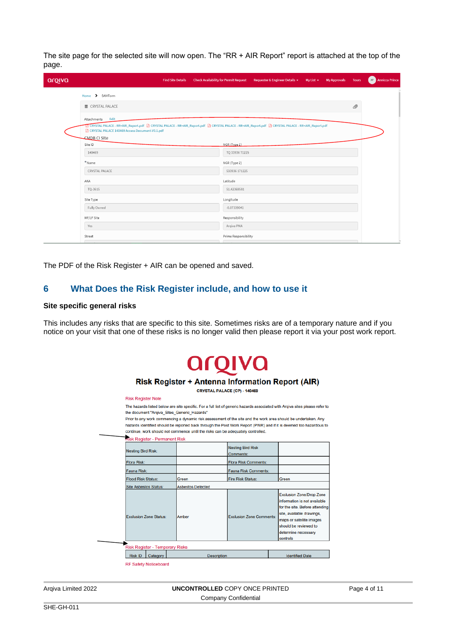The site page for the selected site will now open. The "RR + AIR Report" report is attached at the top of the page.

| argiva | <b>Find Site Details</b>                                                              | <b>Check Availability for Permit Request</b> | Requester & Engineer Details + | $My List \rightarrow My Approws$ | <b>Tours</b> | <b>Annicca Prince</b><br>AP ] |
|--------|---------------------------------------------------------------------------------------|----------------------------------------------|--------------------------------|----------------------------------|--------------|-------------------------------|
|        | Home > SAMForm                                                                        |                                              |                                |                                  |              |                               |
|        | $\equiv$ CRYSTAL PALACE                                                               |                                              |                                |                                  | <i>®</i>     |                               |
|        | Edit<br>Attachments<br>CRYSTAL PALACE 140469 Access Document-V0.1.pdf<br>CMDB CI SIte |                                              |                                |                                  |              |                               |
|        | Site ID                                                                               | NGR (Type 1)                                 |                                |                                  |              |                               |
|        | 140469                                                                                | TQ 33936 71225                               |                                |                                  |              |                               |
|        | *Name                                                                                 | NGR (Type 2)                                 |                                |                                  |              |                               |
|        | CRYSTAL PALACE                                                                        | 533936 171225                                |                                |                                  |              |                               |
|        | AKA                                                                                   | Latitude                                     |                                |                                  |              |                               |
|        | TQ-3615                                                                               | 51.42369581                                  |                                |                                  |              |                               |
|        | Site Type                                                                             | Longitude                                    |                                |                                  |              |                               |
|        | Fully Owned                                                                           | $-0.07339041$                                |                                |                                  |              |                               |
|        | MF/LF Site                                                                            | Responsibility                               |                                |                                  |              |                               |
|        | Yes                                                                                   | Arqiva PMA                                   |                                |                                  |              |                               |
|        | Street                                                                                | Prime Responsibility                         |                                |                                  |              |                               |

The PDF of the Risk Register + AIR can be opened and saved.

#### **6 What Does the Risk Register include, and how to use it**

#### **Site specific general risks**

This includes any risks that are specific to this site. Sometimes risks are of a temporary nature and if you notice on your visit that one of these risks is no longer valid then please report it via your post work report.

## arqiva

#### **Risk Register + Antenna Information Report (AIR)**

CRYSTAL PALACE (CP) - 140469

**Risk Register Note** The hazards listed below are site specific. For a full list of generic hazards associated with Arqiva sites please refer to

the document "Argiva Sites Generic Hazards" Prior to any work commencing a dynamic risk assessment of the site and the work area should be undertaken. Any

hazards identified should be reported back through the Post Work Report (PWR) and if it is deemed too hazardous to continue, work should not commence until the risks can be adequately controlled.

**Risk Register - Permanent Risk** 

| <b>Nesting Bird Risk:</b>              |                          | <b>Nesting Bird Risk</b><br>Comments: |                                                                                                                                                                                                                        |
|----------------------------------------|--------------------------|---------------------------------------|------------------------------------------------------------------------------------------------------------------------------------------------------------------------------------------------------------------------|
| Flora Risk:                            |                          | <b>Flora Risk Comments:</b>           |                                                                                                                                                                                                                        |
| Fauna Risk:                            |                          | Fauna Risk Comments:                  |                                                                                                                                                                                                                        |
| <b>Flood Risk Status:</b>              | Green                    | <b>Fire Risk Status:</b>              | Green                                                                                                                                                                                                                  |
| Site Asbestos Status:                  | <b>Asbestos Detected</b> |                                       |                                                                                                                                                                                                                        |
| <b>Exclusion Zone Status:</b>          | Amber                    | <b>Exclusion Zone Comments:</b>       | <b>Exclusion Zone/Drop Zone</b><br>information is not available<br>for the site. Before attending<br>site, available drawings,<br>maps or satellite images<br>should be reviewed to<br>determine necessary<br>controls |
| <b>Risk Register - Temporary Risks</b> |                          |                                       |                                                                                                                                                                                                                        |
|                                        | <b>Description</b>       |                                       | <b>Identified Date</b>                                                                                                                                                                                                 |

**RF Safety Noticeboard**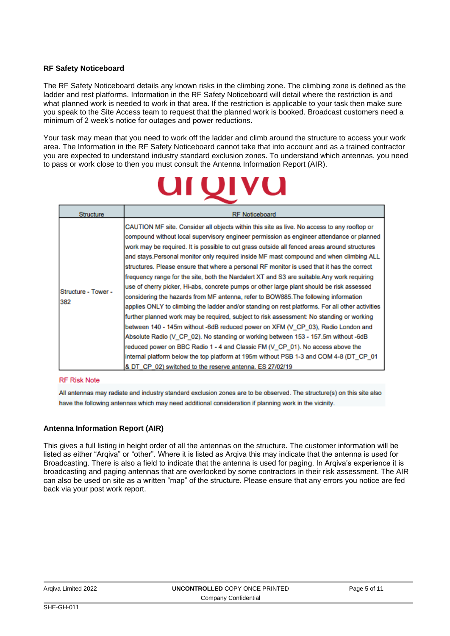#### **RF Safety Noticeboard**

The RF Safety Noticeboard details any known risks in the climbing zone. The climbing zone is defined as the ladder and rest platforms. Information in the RF Safety Noticeboard will detail where the restriction is and what planned work is needed to work in that area. If the restriction is applicable to your task then make sure you speak to the Site Access team to request that the planned work is booked. Broadcast customers need a minimum of 2 week's notice for outages and power reductions.

Your task may mean that you need to work off the ladder and climb around the structure to access your work area. The Information in the RF Safety Noticeboard cannot take that into account and as a trained contractor you are expected to understand industry standard exclusion zones. To understand which antennas, you need to pass or work close to then you must consult the Antenna Information Report (AIR).

|                            | <b>UIVU</b>                                                                                                                                                                                                                                                                                                                                                                                                                                                                                                                                                                                                                                                                                                                                                                                                                                                                                                                                                                                                                                                                                                                                                                                                                                                                                                                                                                          |
|----------------------------|--------------------------------------------------------------------------------------------------------------------------------------------------------------------------------------------------------------------------------------------------------------------------------------------------------------------------------------------------------------------------------------------------------------------------------------------------------------------------------------------------------------------------------------------------------------------------------------------------------------------------------------------------------------------------------------------------------------------------------------------------------------------------------------------------------------------------------------------------------------------------------------------------------------------------------------------------------------------------------------------------------------------------------------------------------------------------------------------------------------------------------------------------------------------------------------------------------------------------------------------------------------------------------------------------------------------------------------------------------------------------------------|
| <b>Structure</b>           | <b>RF Noticeboard</b>                                                                                                                                                                                                                                                                                                                                                                                                                                                                                                                                                                                                                                                                                                                                                                                                                                                                                                                                                                                                                                                                                                                                                                                                                                                                                                                                                                |
| Structure - Tower -<br>382 | CAUTION MF site. Consider all objects within this site as live. No access to any rooftop or<br>compound without local supervisory engineer permission as engineer attendance or planned<br>work may be required. It is possible to cut grass outside all fenced areas around structures<br>and stays. Personal monitor only required inside MF mast compound and when climbing ALL<br>structures. Please ensure that where a personal RF monitor is used that it has the correct<br>frequency range for the site, both the Nardalert XT and S3 are suitable. Any work requiring<br>use of cherry picker, Hi-abs, concrete pumps or other large plant should be risk assessed<br>considering the hazards from MF antenna, refer to BOW885. The following information<br>applies ONLY to climbing the ladder and/or standing on rest platforms. For all other activities<br>further planned work may be required, subject to risk assessment: No standing or working<br>between 140 - 145m without -6dB reduced power on XFM (V CP 03), Radio London and<br>Absolute Radio (V CP 02). No standing or working between 153 - 157.5m without -6dB<br>reduced power on BBC Radio 1 - 4 and Classic FM (V CP 01). No access above the<br>internal platform below the top platform at 195m without PSB 1-3 and COM 4-8 (DT_CP_01<br>& DT CP 02) switched to the reserve antenna. ES 27/02/19 |

#### **RF Risk Note**

All antennas may radiate and industry standard exclusion zones are to be observed. The structure(s) on this site also have the following antennas which may need additional consideration if planning work in the vicinity.

#### **Antenna Information Report (AIR)**

This gives a full listing in height order of all the antennas on the structure. The customer information will be listed as either "Arqiva" or "other". Where it is listed as Arqiva this may indicate that the antenna is used for Broadcasting. There is also a field to indicate that the antenna is used for paging. In Arqiva's experience it is broadcasting and paging antennas that are overlooked by some contractors in their risk assessment. The AIR can also be used on site as a written "map" of the structure. Please ensure that any errors you notice are fed back via your post work report.

| Argiva Limited 2022 | <b>UNCONTROLLED COPY ONCE PRINTED</b> | Page 5 |
|---------------------|---------------------------------------|--------|
|                     | Company Confidential                  |        |

of 11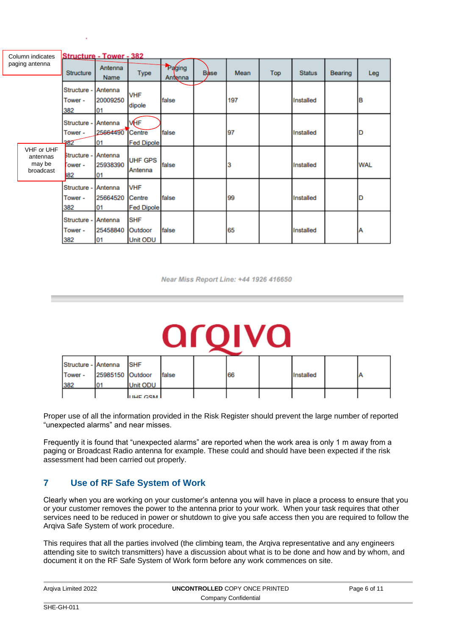|                | Column indicates                              |                                  | <b>Structure - Tower - 382</b> |                                           |                   |             |      |     |               |                |            |
|----------------|-----------------------------------------------|----------------------------------|--------------------------------|-------------------------------------------|-------------------|-------------|------|-----|---------------|----------------|------------|
| paging antenna |                                               | <b>Structure</b>                 | Antenna<br><b>Name</b>         | <b>Type</b>                               | Paging<br>Antenna | <b>Base</b> | Mean | Top | <b>Status</b> | <b>Bearing</b> | Leg        |
|                |                                               | Structure -<br>Tower -<br>382    | Antenna<br>20009250<br>01      | <b>VHF</b><br>dipole                      | false             |             | 197  |     | Installed     |                | lΒ         |
|                |                                               | Structure -<br>Tower -<br>$-382$ | Antenna<br>25664490<br>01      | <b>VHF</b><br>Centre<br><b>Fed Dipole</b> | false             |             | 97   |     | Installed     |                |            |
|                | VHF or UHF<br>antennas<br>may be<br>broadcast | Structure -<br>Tower -<br>882    | Antenna<br>25938390<br>01      | <b>UHF GPS</b><br>Antenna                 | false             |             | 3    |     | Installed     |                | <b>WAL</b> |
|                |                                               | Structure -<br>Tower -<br>382    | Antenna<br>25664520<br>01      | <b>VHF</b><br>Centre<br><b>Fed Dipole</b> | false             |             | 99   |     | Installed     |                | D          |
|                |                                               | Structure<br>Tower -<br>382      | Antenna<br>25458840<br>01      | <b>SHF</b><br>Outdoor<br><b>Unit ODU</b>  | false             |             | 65   |     | Installed     |                | A          |

Near Miss Report Line: +44 1926 416650

| Structure - Antenna |                  | <b>SHF</b>      |       |    |           |    |
|---------------------|------------------|-----------------|-------|----|-----------|----|
| Tower -             | 25985150 Outdoor |                 | false | 66 | Installed | ΙA |
| 382                 | 01               | <b>Unit ODU</b> |       |    |           |    |
|                     |                  | <b>ITHE CSM</b> |       |    |           |    |

Proper use of all the information provided in the Risk Register should prevent the large number of reported "unexpected alarms" and near misses.

Frequently it is found that "unexpected alarms" are reported when the work area is only 1 m away from a paging or Broadcast Radio antenna for example. These could and should have been expected if the risk assessment had been carried out properly.

### **7 Use of RF Safe System of Work**

Clearly when you are working on your customer's antenna you will have in place a process to ensure that you or your customer removes the power to the antenna prior to your work. When your task requires that other services need to be reduced in power or shutdown to give you safe access then you are required to follow the Arqiva Safe System of work procedure.

This requires that all the parties involved (the climbing team, the Arqiva representative and any engineers attending site to switch transmitters) have a discussion about what is to be done and how and by whom, and document it on the RF Safe System of Work form before any work commences on site.

| Argiva Limited 2022 | <b>UNCONTROLLED COPY ONCE PRINTED</b> | Page 6 of 11 |
|---------------------|---------------------------------------|--------------|
|                     | Company Confidential                  |              |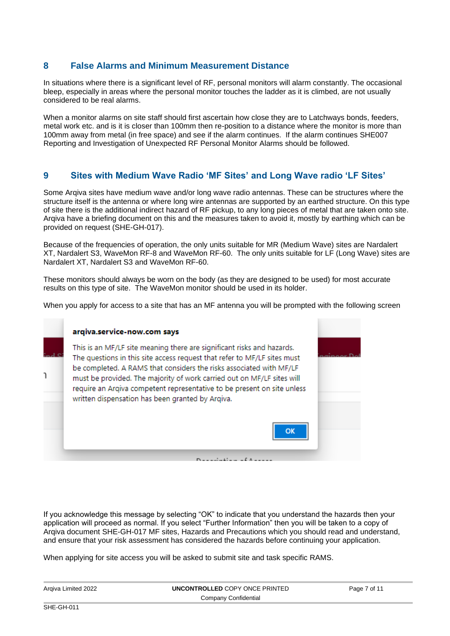#### **8 False Alarms and Minimum Measurement Distance**

In situations where there is a significant level of RF, personal monitors will alarm constantly. The occasional bleep, especially in areas where the personal monitor touches the ladder as it is climbed, are not usually considered to be real alarms.

When a monitor alarms on site staff should first ascertain how close they are to Latchways bonds, feeders, metal work etc. and is it is closer than 100mm then re-position to a distance where the monitor is more than 100mm away from metal (in free space) and see if the alarm continues. If the alarm continues SHE007 Reporting and Investigation of Unexpected RF Personal Monitor Alarms should be followed.

#### **9 Sites with Medium Wave Radio 'MF Sites' and Long Wave radio 'LF Sites'**

Some Arqiva sites have medium wave and/or long wave radio antennas. These can be structures where the structure itself is the antenna or where long wire antennas are supported by an earthed structure. On this type of site there is the additional indirect hazard of RF pickup, to any long pieces of metal that are taken onto site. Arqiva have a briefing document on this and the measures taken to avoid it, mostly by earthing which can be provided on request (SHE-GH-017).

Because of the frequencies of operation, the only units suitable for MR (Medium Wave) sites are Nardalert XT, Nardalert S3, WaveMon RF-8 and WaveMon RF-60. The only units suitable for LF (Long Wave) sites are Nardalert XT, Nardalert S3 and WaveMon RF-60.

These monitors should always be worn on the body (as they are designed to be used) for most accurate results on this type of site. The WaveMon monitor should be used in its holder.

When you apply for access to a site that has an MF antenna you will be prompted with the following screen



If you acknowledge this message by selecting "OK" to indicate that you understand the hazards then your application will proceed as normal. If you select "Further Information" then you will be taken to a copy of Arqiva document SHE-GH-017 MF sites, Hazards and Precautions which you should read and understand, and ensure that your risk assessment has considered the hazards before continuing your application.

When applying for site access you will be asked to submit site and task specific RAMS.

| Argiva Limited 2022 | UNCONTROLLED COPY ONCE PRINTED | Page 7 of 11 |
|---------------------|--------------------------------|--------------|
|                     | Company Confidential           |              |
| $SHE-CH-011$        |                                |              |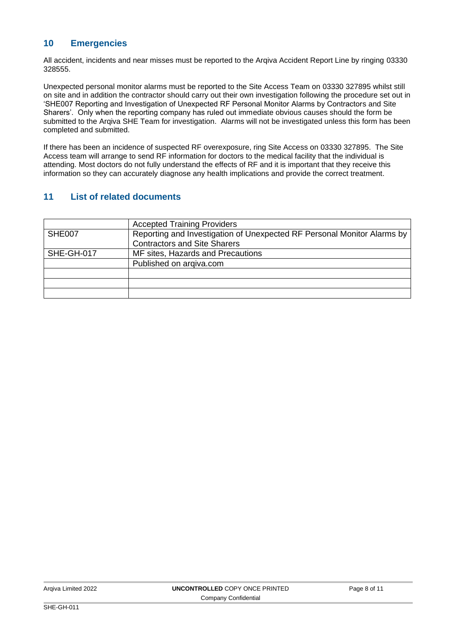#### **10 Emergencies**

All accident, incidents and near misses must be reported to the Arqiva Accident Report Line by ringing 03330 328555.

Unexpected personal monitor alarms must be reported to the Site Access Team on 03330 327895 whilst still on site and in addition the contractor should carry out their own investigation following the procedure set out in 'SHE007 Reporting and Investigation of Unexpected RF Personal Monitor Alarms by Contractors and Site Sharers'. Only when the reporting company has ruled out immediate obvious causes should the form be submitted to the Arqiva SHE Team for investigation. Alarms will not be investigated unless this form has been completed and submitted.

If there has been an incidence of suspected RF overexposure, ring Site Access on 03330 327895. The Site Access team will arrange to send [RF information for doctors](http://www.arqiva.com/corporate/pdf/rfsafety/Guidance%20for%20Doctors%20in%20the%20Assessment%20and%20Acute%20Treatment%20of%20a%20Patient%20Suspected%20of%20Over%20Exposure%20to%20Radio%20Frequency%20Radiation.doc) to the medical facility that the individual is attending. Most doctors do not fully understand the effects of RF and it is important that they receive this information so they can accurately diagnose any health implications and provide the correct treatment.

#### **11 List of related documents**

|            | <b>Accepted Training Providers</b>                                      |  |  |
|------------|-------------------------------------------------------------------------|--|--|
| SHE007     | Reporting and Investigation of Unexpected RF Personal Monitor Alarms by |  |  |
|            | <b>Contractors and Site Sharers</b>                                     |  |  |
| SHE-GH-017 | MF sites, Hazards and Precautions                                       |  |  |
|            | Published on argiva.com                                                 |  |  |
|            |                                                                         |  |  |
|            |                                                                         |  |  |
|            |                                                                         |  |  |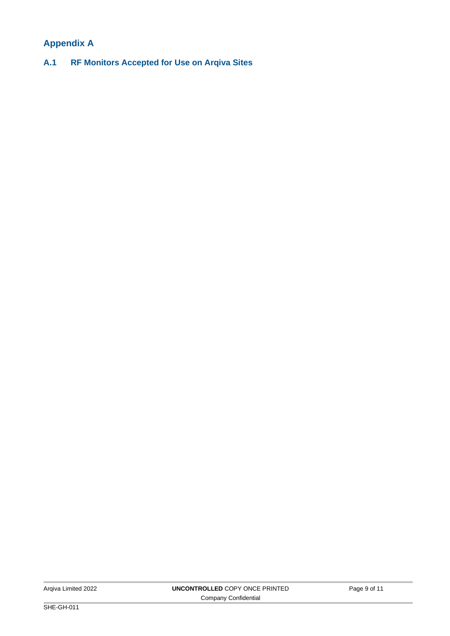## **Appendix A**

**A.1 RF Monitors Accepted for Use on Arqiva Sites**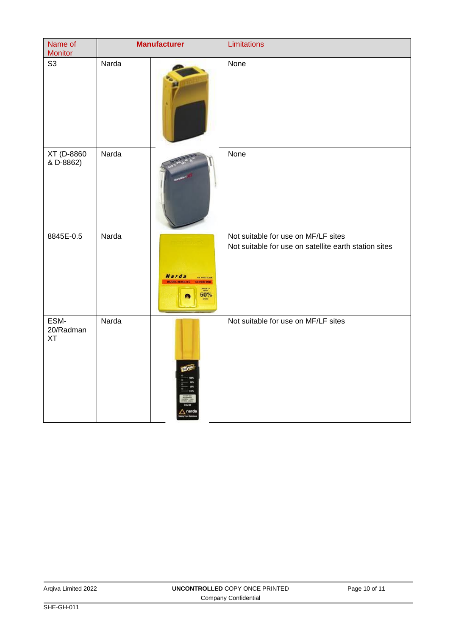| Name of<br>Monitor             | <b>Manufacturer</b> |                     | Limitations                                                                                  |
|--------------------------------|---------------------|---------------------|----------------------------------------------------------------------------------------------|
| S <sub>3</sub>                 | Narda               |                     | None                                                                                         |
| XT (D-8860<br>& D-8862)        | Narda               |                     | None                                                                                         |
| 8845E-0.5                      | Narda               | <b>Narda</b><br>50% | Not suitable for use on MF/LF sites<br>Not suitable for use on satellite earth station sites |
| ESM-<br>20/Radman<br><b>XT</b> | Narda               | <b>MAN</b>          | Not suitable for use on MF/LF sites                                                          |